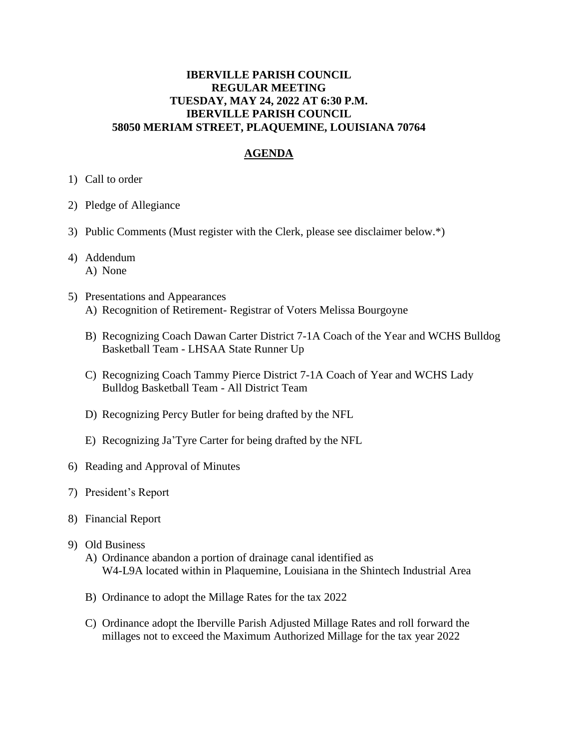## **IBERVILLE PARISH COUNCIL REGULAR MEETING TUESDAY, MAY 24, 2022 AT 6:30 P.M. IBERVILLE PARISH COUNCIL 58050 MERIAM STREET, PLAQUEMINE, LOUISIANA 70764**

## **AGENDA**

- 1) Call to order
- 2) Pledge of Allegiance
- 3) Public Comments (Must register with the Clerk, please see disclaimer below.\*)
- 4) Addendum A) None
- 5) Presentations and Appearances A) Recognition of Retirement- Registrar of Voters Melissa Bourgoyne
	- B) Recognizing Coach Dawan Carter District 7-1A Coach of the Year and WCHS Bulldog Basketball Team - LHSAA State Runner Up
	- C) Recognizing Coach Tammy Pierce District 7-1A Coach of Year and WCHS Lady Bulldog Basketball Team - All District Team
	- D) Recognizing Percy Butler for being drafted by the NFL
	- E) Recognizing Ja'Tyre Carter for being drafted by the NFL
- 6) Reading and Approval of Minutes
- 7) President's Report
- 8) Financial Report
- 9) Old Business
	- A) Ordinance abandon a portion of drainage canal identified as W4-L9A located within in Plaquemine, Louisiana in the Shintech Industrial Area
	- B) Ordinance to adopt the Millage Rates for the tax 2022
	- C) Ordinance adopt the Iberville Parish Adjusted Millage Rates and roll forward the millages not to exceed the Maximum Authorized Millage for the tax year 2022